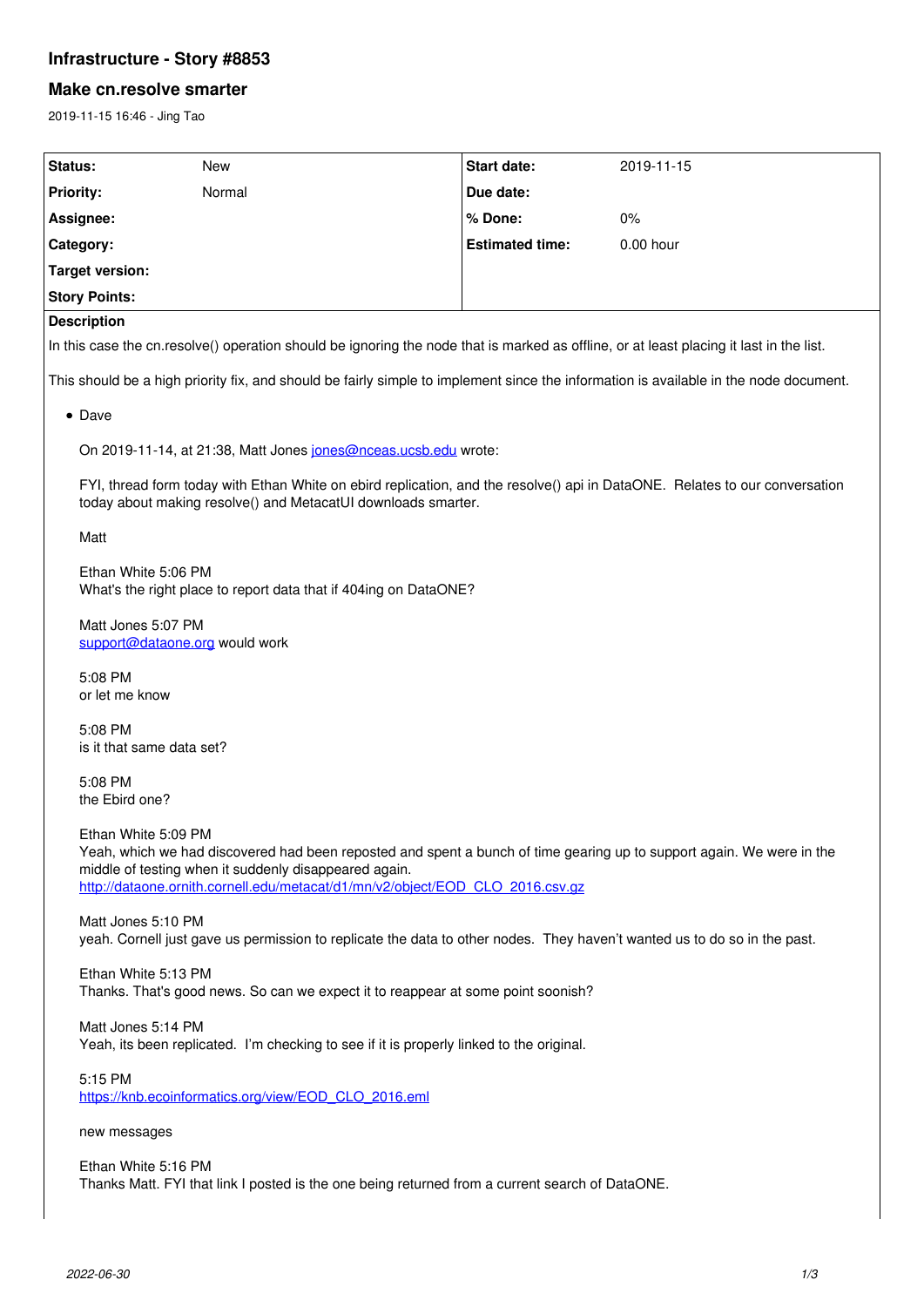# **Infrastructure - Story #8853**

### **Make cn.resolve smarter**

2019-11-15 16:46 - Jing Tao

| Status:                                                                                                                                 | New    | <b>Start date:</b>     | 2019-11-15  |
|-----------------------------------------------------------------------------------------------------------------------------------------|--------|------------------------|-------------|
| <b>Priority:</b>                                                                                                                        | Normal | Due date:              |             |
| Assignee:                                                                                                                               |        | % Done:                | $0\%$       |
| Category:                                                                                                                               |        | <b>Estimated time:</b> | $0.00$ hour |
| Target version:                                                                                                                         |        |                        |             |
| <b>Story Points:</b>                                                                                                                    |        |                        |             |
| <b>Description</b>                                                                                                                      |        |                        |             |
| In this case the cn.resolve() operation should be ignoring the node that is marked as offline, or at least placing it last in the list. |        |                        |             |

This should be a high priority fix, and should be fairly simple to implement since the information is available in the node document.

#### • Dave

On 2019-11-14, at 21:38, Matt Jones [jones@nceas.ucsb.edu](mailto:jones@nceas.ucsb.edu) wrote:

FYI, thread form today with Ethan White on ebird replication, and the resolve() api in DataONE. Relates to our conversation today about making resolve() and MetacatUI downloads smarter.

Matt

Ethan White 5:06 PM What's the right place to report data that if 404ing on DataONE?

Matt Jones 5:07 PM [support@dataone.org](mailto:support@dataone.org) would work

5:08 PM or let me know

5:08 PM is it that same data set?

5:08 PM the Ebird one?

Ethan White 5:09 PM

Yeah, which we had discovered had been reposted and spent a bunch of time gearing up to support again. We were in the middle of testing when it suddenly disappeared again. [http://dataone.ornith.cornell.edu/metacat/d1/mn/v2/object/EOD\\_CLO\\_2016.csv.gz](http://dataone.ornith.cornell.edu/metacat/d1/mn/v2/object/EOD_CLO_2016.csv.gz)

Matt Jones 5:10 PM yeah. Cornell just gave us permission to replicate the data to other nodes. They haven't wanted us to do so in the past.

Ethan White 5:13 PM Thanks. That's good news. So can we expect it to reappear at some point soonish?

Matt Jones 5:14 PM Yeah, its been replicated. I'm checking to see if it is properly linked to the original.

5:15 PM [https://knb.ecoinformatics.org/view/EOD\\_CLO\\_2016.eml](https://knb.ecoinformatics.org/view/EOD_CLO_2016.eml)

new messages

Ethan White 5:16 PM Thanks Matt. FYI that link I posted is the one being returned from a current search of DataONE.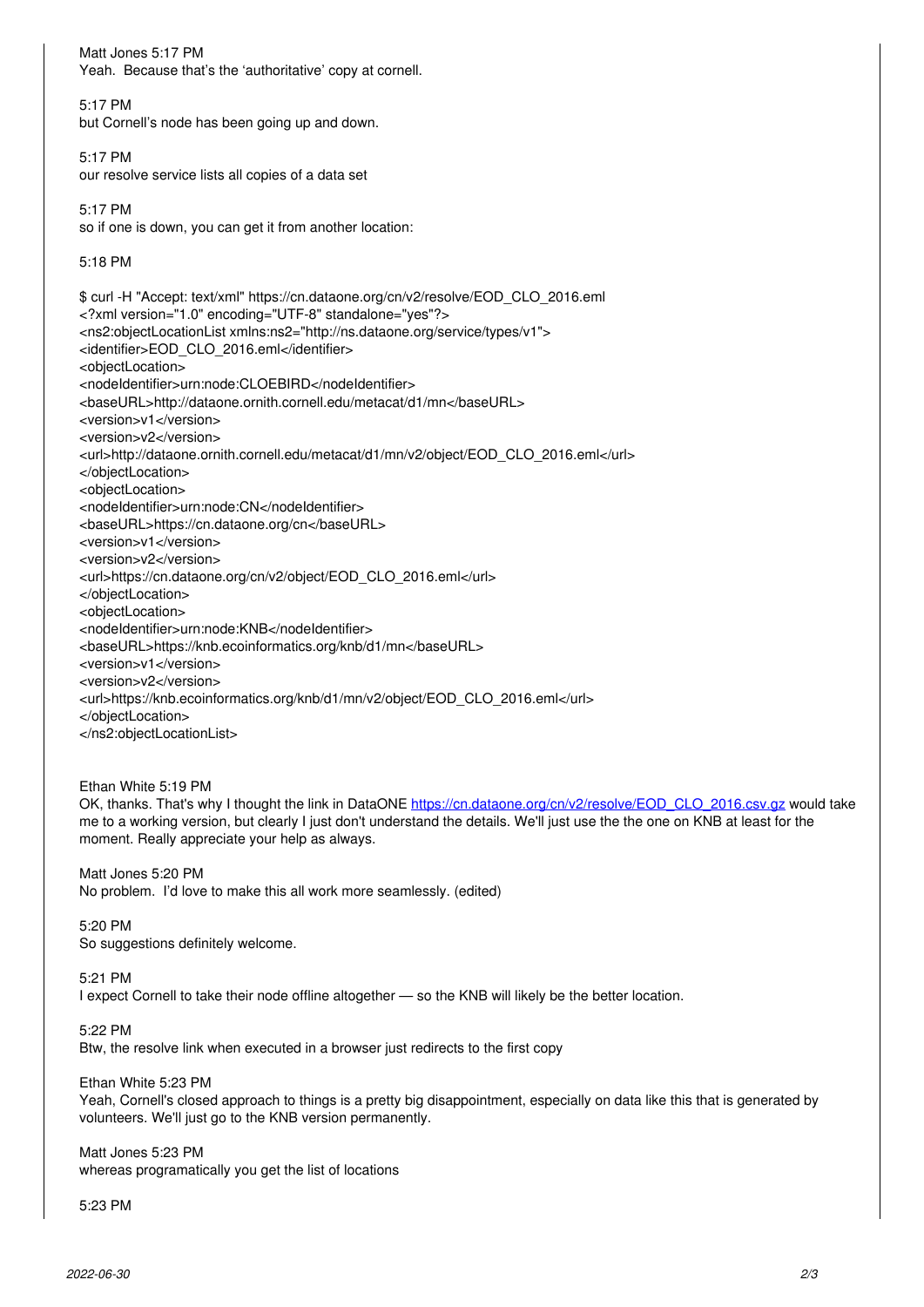Matt Jones 5:17 PM Yeah. Because that's the 'authoritative' copy at cornell. 5:17 PM but Cornell's node has been going up and down. 5:17 PM our resolve service lists all copies of a data set 5:17 PM so if one is down, you can get it from another location: 5:18 PM \$ curl -H "Accept: text/xml" https://cn.dataone.org/cn/v2/resolve/EOD\_CLO\_2016.eml <?xml version="1.0" encoding="UTF-8" standalone="yes"?> <ns2:objectLocationList xmlns:ns2="http://ns.dataone.org/service/types/v1"> <identifier>EOD\_CLO\_2016.eml</identifier> <objectLocation> <nodeIdentifier>urn:node:CLOEBIRD</nodeIdentifier> <baseURL>http://dataone.ornith.cornell.edu/metacat/d1/mn</baseURL> <version>v1</version> <version>v2</version> <url>http://dataone.ornith.cornell.edu/metacat/d1/mn/v2/object/EOD\_CLO\_2016.eml</url> </objectLocation> <objectLocation> <nodeIdentifier>urn:node:CN</nodeIdentifier> <baseURL>https://cn.dataone.org/cn</baseURL> <version>v1</version> <version>v2</version> <url>https://cn.dataone.org/cn/v2/object/EOD\_CLO\_2016.eml</url> </objectLocation> <objectLocation> <nodeIdentifier>urn:node:KNB</nodeIdentifier> <baseURL>https://knb.ecoinformatics.org/knb/d1/mn</baseURL> <version>v1</version> <version>v2</version> <url>https://knb.ecoinformatics.org/knb/d1/mn/v2/object/EOD\_CLO\_2016.eml</url> </objectLocation> </ns2:objectLocationList> Ethan White 5:19 PM OK, thanks. That's why I thought the link in DataONE [https://cn.dataone.org/cn/v2/resolve/EOD\\_CLO\\_2016.csv.gz](https://cn.dataone.org/cn/v2/resolve/EOD_CLO_2016.csv.gz) would take me to a working version, but clearly I just don't understand the details. We'll just use the the one on KNB at least for the moment. Really appreciate your help as always. Matt Jones 5:20 PM No problem. I'd love to make this all work more seamlessly. (edited) 5:20 PM So suggestions definitely welcome. 5:21 PM I expect Cornell to take their node offline altogether — so the KNB will likely be the better location. 5:22 PM Btw, the resolve link when executed in a browser just redirects to the first copy Ethan White 5:23 PM Yeah, Cornell's closed approach to things is a pretty big disappointment, especially on data like this that is generated by volunteers. We'll just go to the KNB version permanently. Matt Jones 5:23 PM whereas programatically you get the list of locations 5:23 PM